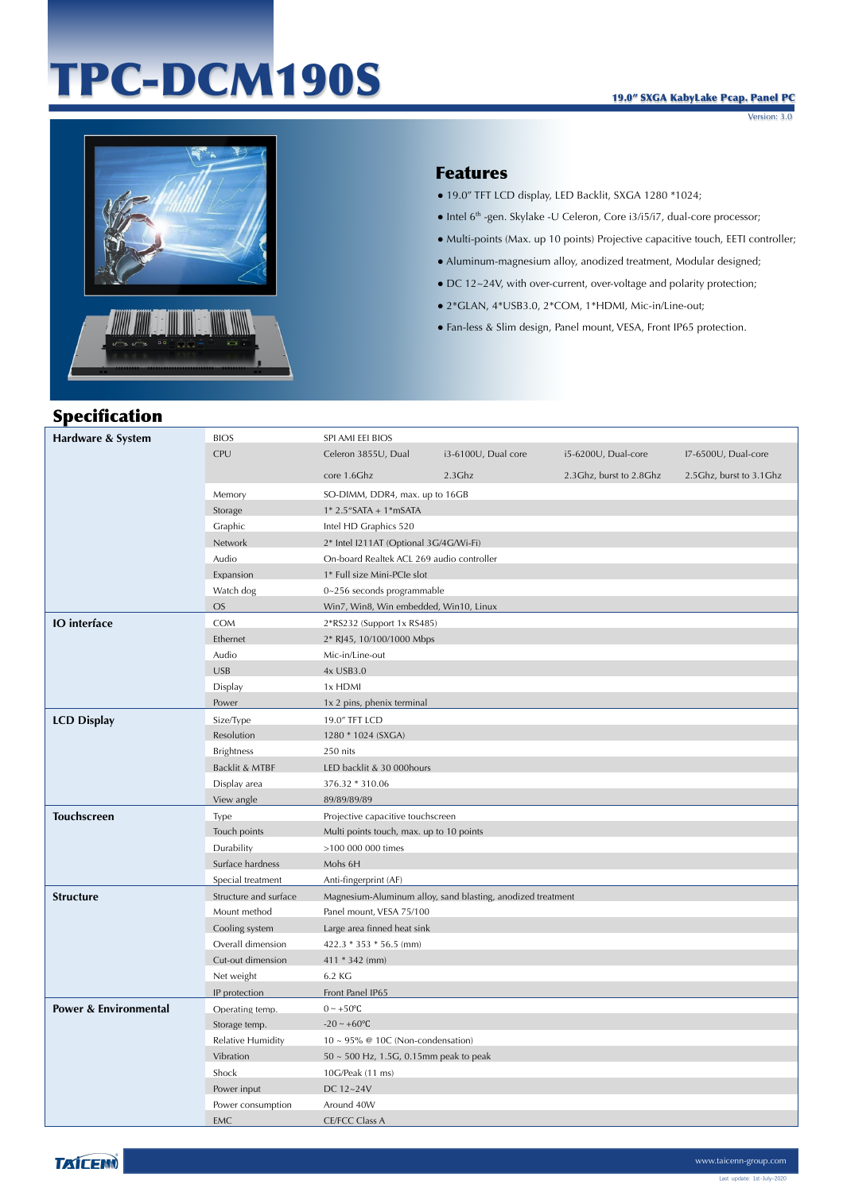# TPC-DCM190S

Version: 3.0



#### Features

- 19.0" TFT LCD display, LED Backlit, SXGA 1280 \*1024;
- Intel 6th -gen. Skylake -U Celeron, Core i3/i5/i7, dual-core processor;
- Multi-points (Max. up 10 points) Projective capacitive touch, EETI controller;
- Aluminum-magnesium alloy, anodized treatment, Modular designed;
- DC 12~24V, with over-current, over-voltage and polarity protection;
- 2\*GLAN, 4\*USB3.0, 2\*COM, 1\*HDMI, Mic-in/Line-out;
- Fan-less & Slim design, Panel mount, VESA, Front IP65 protection.

| <b>Specification</b>             |                       |                                           |                                                             |                           |                         |
|----------------------------------|-----------------------|-------------------------------------------|-------------------------------------------------------------|---------------------------|-------------------------|
| Hardware & System                | <b>BIOS</b>           | SPI AMI EEI BIOS                          |                                                             |                           |                         |
|                                  | CPU                   | Celeron 3855U, Dual                       | i3-6100U, Dual core                                         | i5-6200U, Dual-core       | I7-6500U, Dual-core     |
|                                  |                       | core 1.6Ghz                               | $2.3$ Ghz                                                   | 2.3 Ghz, burst to 2.8 Ghz | 2.5Ghz, burst to 3.1Ghz |
|                                  | Memory                | SO-DIMM, DDR4, max. up to 16GB            |                                                             |                           |                         |
|                                  | Storage               | $1* 2.5$ "SATA + $1*$ mSATA               |                                                             |                           |                         |
|                                  | Graphic               | Intel HD Graphics 520                     |                                                             |                           |                         |
|                                  | Network               | 2* Intel I211AT (Optional 3G/4G/Wi-Fi)    |                                                             |                           |                         |
|                                  | Audio                 | On-board Realtek ACL 269 audio controller |                                                             |                           |                         |
|                                  | Expansion             | 1* Full size Mini-PCIe slot               |                                                             |                           |                         |
|                                  | Watch dog             | 0~256 seconds programmable                |                                                             |                           |                         |
|                                  | $OS$                  | Win7, Win8, Win embedded, Win10, Linux    |                                                             |                           |                         |
| <b>IO</b> interface              | <b>COM</b>            | 2*RS232 (Support 1x RS485)                |                                                             |                           |                         |
|                                  | Ethernet              | 2* RJ45, 10/100/1000 Mbps                 |                                                             |                           |                         |
|                                  | Audio                 | Mic-in/Line-out                           |                                                             |                           |                         |
|                                  | <b>USB</b>            | 4x USB3.0                                 |                                                             |                           |                         |
|                                  | Display               | 1x HDMI                                   |                                                             |                           |                         |
|                                  | Power                 | 1x 2 pins, phenix terminal                |                                                             |                           |                         |
| <b>LCD Display</b>               | Size/Type             | 19.0" TFT LCD                             |                                                             |                           |                         |
|                                  | Resolution            | 1280 * 1024 (SXGA)                        |                                                             |                           |                         |
|                                  | <b>Brightness</b>     | 250 nits                                  |                                                             |                           |                         |
|                                  | Backlit & MTBF        | LED backlit & 30 000hours                 |                                                             |                           |                         |
|                                  | Display area          | 376.32 * 310.06                           |                                                             |                           |                         |
|                                  | View angle            | 89/89/89/89                               |                                                             |                           |                         |
| <b>Touchscreen</b>               | Type                  | Projective capacitive touchscreen         |                                                             |                           |                         |
|                                  | Touch points          | Multi points touch, max. up to 10 points  |                                                             |                           |                         |
|                                  | Durability            | >100 000 000 times                        |                                                             |                           |                         |
|                                  | Surface hardness      | Mohs 6H                                   |                                                             |                           |                         |
|                                  | Special treatment     | Anti-fingerprint (AF)                     |                                                             |                           |                         |
| <b>Structure</b>                 | Structure and surface |                                           | Magnesium-Aluminum alloy, sand blasting, anodized treatment |                           |                         |
|                                  | Mount method          | Panel mount, VESA 75/100                  |                                                             |                           |                         |
|                                  | Cooling system        | Large area finned heat sink               |                                                             |                           |                         |
|                                  | Overall dimension     | $422.3 * 353 * 56.5$ (mm)                 |                                                             |                           |                         |
|                                  | Cut-out dimension     | $411 * 342$ (mm)                          |                                                             |                           |                         |
|                                  | Net weight            | 6.2 KG                                    |                                                             |                           |                         |
|                                  | IP protection         | Front Panel IP65                          |                                                             |                           |                         |
| <b>Power &amp; Environmental</b> | Operating temp.       | $0 \sim +50$ °C                           |                                                             |                           |                         |
|                                  | Storage temp.         | $-20 - +60$ °C                            |                                                             |                           |                         |
|                                  | Relative Humidity     | $10 \sim 95\%$ @ 10C (Non-condensation)   |                                                             |                           |                         |
|                                  | Vibration             | 50 ~ 500 Hz, 1.5G, 0.15mm peak to peak    |                                                             |                           |                         |
|                                  | Shock                 | 10G/Peak (11 ms)                          |                                                             |                           |                         |
|                                  | Power input           | DC 12~24V                                 |                                                             |                           |                         |
|                                  | Power consumption     | Around 40W                                |                                                             |                           |                         |
|                                  | EMC                   | CE/FCC Class A                            |                                                             |                           |                         |